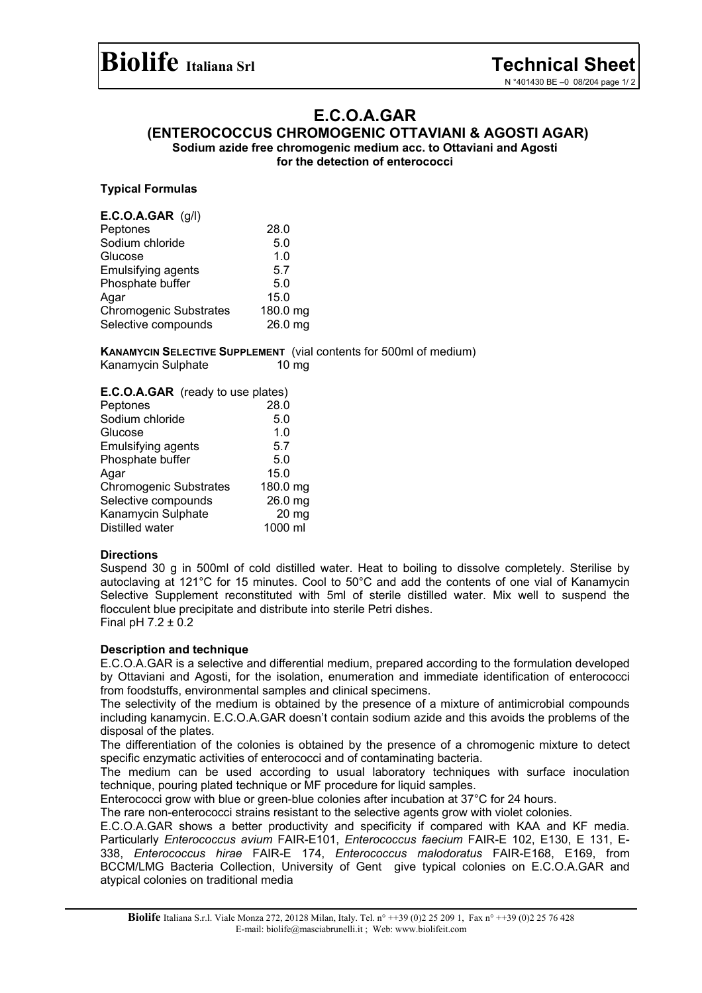# **E.C.O.A.GAR**

**(ENTEROCOCCUS CHROMOGENIC OTTAVIANI & AGOSTI AGAR)** 

**Sodium azide free chromogenic medium acc. to Ottaviani and Agosti for the detection of enterococci** 

## **Typical Formulas**

| $E.C.O.A.GAR$ (g/l)           |          |
|-------------------------------|----------|
| Peptones                      | 28.0     |
| Sodium chloride               | 5.0      |
| Glucose                       | 1.0      |
| <b>Emulsifying agents</b>     | 5.7      |
| Phosphate buffer              | 5.0      |
| Agar                          | 15.0     |
| <b>Chromogenic Substrates</b> | 180.0 mg |
| Selective compounds           | 26.0 mg  |
|                               |          |

**KANAMYCIN SELECTIVE SUPPLEMENT** (vial contents for 500ml of medium) Kanamycin Sulphate 10 mg

| E.C.O.A.GAR (ready to use plates) |                  |
|-----------------------------------|------------------|
| Peptones                          | 28.0             |
| Sodium chloride                   | 5.0              |
| Glucose                           | 1.0              |
| <b>Emulsifying agents</b>         | 5.7              |
| Phosphate buffer                  | 5.0              |
| Agar                              | 15.0             |
| <b>Chromogenic Substrates</b>     | 180.0 mg         |
| Selective compounds               | 26.0 mg          |
| Kanamycin Sulphate                | 20 <sub>mg</sub> |
| Distilled water                   | 1000 ml          |

## **Directions**

Suspend 30 g in 500ml of cold distilled water. Heat to boiling to dissolve completely. Sterilise by autoclaving at 121°C for 15 minutes. Cool to 50°C and add the contents of one vial of Kanamycin Selective Supplement reconstituted with 5ml of sterile distilled water. Mix well to suspend the flocculent blue precipitate and distribute into sterile Petri dishes. Final pH  $7.2 \pm 0.2$ 

## **Description and technique**

E.C.O.A.GAR is a selective and differential medium, prepared according to the formulation developed by Ottaviani and Agosti, for the isolation, enumeration and immediate identification of enterococci from foodstuffs, environmental samples and clinical specimens.

The selectivity of the medium is obtained by the presence of a mixture of antimicrobial compounds including kanamycin. E.C.O.A.GAR doesn't contain sodium azide and this avoids the problems of the disposal of the plates.

The differentiation of the colonies is obtained by the presence of a chromogenic mixture to detect specific enzymatic activities of enterococci and of contaminating bacteria.

The medium can be used according to usual laboratory techniques with surface inoculation technique, pouring plated technique or MF procedure for liquid samples.

Enterococci grow with blue or green-blue colonies after incubation at 37°C for 24 hours.

The rare non-enterococci strains resistant to the selective agents grow with violet colonies.

E.C.O.A.GAR shows a better productivity and specificity if compared with KAA and KF media. Particularly *Enterococcus avium* FAIR-E101, *Enterococcus faecium* FAIR-E 102, E130, E 131, E-338, *Enterococcus hirae* FAIR-E 174, *Enterococcus malodoratus* FAIR-E168, E169, from BCCM/LMG Bacteria Collection, University of Gent give typical colonies on E.C.O.A.GAR and atypical colonies on traditional media